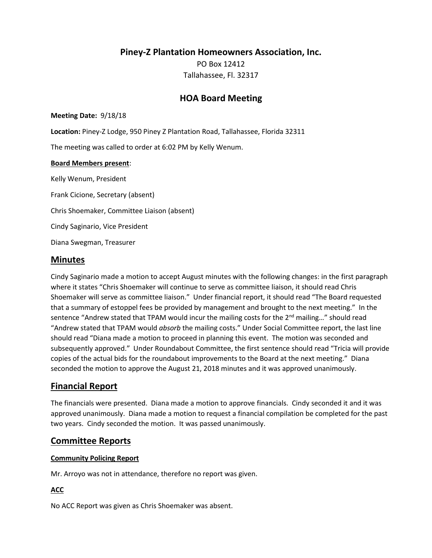**Piney-Z Plantation Homeowners Association, Inc.**

PO Box 12412 Tallahassee, Fl. 32317

# **HOA Board Meeting**

**Meeting Date:** 9/18/18

**Location:** Piney-Z Lodge, 950 Piney Z Plantation Road, Tallahassee, Florida 32311

The meeting was called to order at 6:02 PM by Kelly Wenum.

#### **Board Members present**:

Kelly Wenum, President Frank Cicione, Secretary (absent) Chris Shoemaker, Committee Liaison (absent) Cindy Saginario, Vice President Diana Swegman, Treasurer

## **Minutes**

Cindy Saginario made a motion to accept August minutes with the following changes: in the first paragraph where it states "Chris Shoemaker will continue to serve as committee liaison, it should read Chris Shoemaker will serve as committee liaison." Under financial report, it should read "The Board requested that a summary of estoppel fees be provided by management and brought to the next meeting." In the sentence "Andrew stated that TPAM would incur the mailing costs for the 2<sup>nd</sup> mailing..." should read "Andrew stated that TPAM would *absorb* the mailing costs." Under Social Committee report, the last line should read "Diana made a motion to proceed in planning this event. The motion was seconded and subsequently approved." Under Roundabout Committee, the first sentence should read "Tricia will provide copies of the actual bids for the roundabout improvements to the Board at the next meeting." Diana seconded the motion to approve the August 21, 2018 minutes and it was approved unanimously.

# **Financial Report**

The financials were presented. Diana made a motion to approve financials. Cindy seconded it and it was approved unanimously. Diana made a motion to request a financial compilation be completed for the past two years. Cindy seconded the motion. It was passed unanimously.

# **Committee Reports**

## **Community Policing Report**

Mr. Arroyo was not in attendance, therefore no report was given.

## **ACC**

No ACC Report was given as Chris Shoemaker was absent.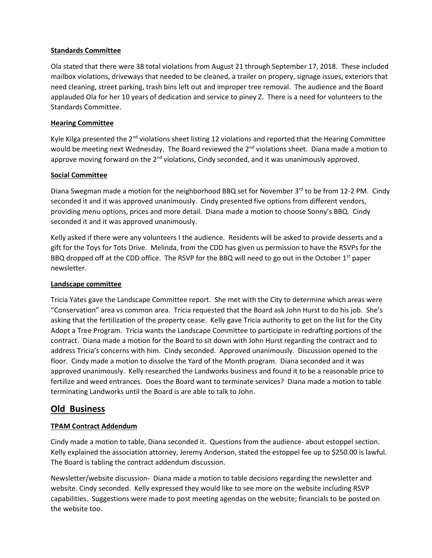## **Standards Committee**

Ola stated that there were 38 total violations from August 21 through September 17, 2018. These included mailbox violations, driveways that needed to be cleaned, a trailer on propery, signage issues, exteriors that need cleaning, street parking, trash bins left out and improper tree removal. The audience and the Board applauded Ola for her 10 years of dedication and service to piney Z. There is a need for volunteers to the Standards Committee.

## **Hearing Committee**

Kyle Kilga presented the  $2^{nd}$  violations sheet listing 12 violations and reported that the Hearing Committee would be meeting next Wednesday. The Board reviewed the 2<sup>nd</sup> violations sheet. Diana made a motion to approve moving forward on the  $2^{nd}$  violations, Cindy seconded, and it was unanimously approved.

## **Social Committee**

Diana Swegman made a motion for the neighborhood BBQ set for November 3rd to be from 12-2 PM. Cindy seconded it and it was approved unanimously. Cindy presented five options from different vendors, providing menu options, prices and more detail. Diana made a motion to choose Sonny's BBQ. Cindy seconded it and it was approved unanimously.

Kelly asked if there were any volunteers I the audience. Residents will be asked to provide desserts and a gift for the Toys for Tots Drive. Melinda, from the CDD has given us permission to have the RSVPs for the BBQ dropped off at the CDD office. The RSVP for the BBQ will need to go out in the October  $1^{st}$  paper newsletter.

#### **Landscape committee**

Tricia Yates gave the Landscape Committee report. She met with the City to determine which areas were "Conservation" area vs common area. Tricia requested that the Board ask John Hurst to do his job. She's asking that the fertilization of the property cease. Kelly gave Tricia authority to get on the list for the City Adopt a Tree Program. Tricia wants the Landscape Committee to participate in redrafting portions of the contract. Diana made a motion for the Board to sit down with John Hurst regarding the contract and to address Tricia's concerns with him. Cindy seconded. Approved unanimously. Discussion opened to the floor. Cindy made a motion to dissolve the Yard of the Month program. Diana seconded and it was approved unanimously. Kelly researched the Landworks business and found it to be a reasonable price to fertilize and weed entrances. Does the Board want to terminate services? Diana made a motion to table terminating Landworks until the Board is are able to talk to John.

# **Old Business**

## **TPAM Contract Addendum**

Cindy made a motion to table, Diana seconded it. Questions from the audience- about estoppel section. Kelly explained the association attorney, Jeremy Anderson, stated the estoppel fee up to \$250.00 is lawful. The Board is tabling the contract addendum discussion.

Newsletter/website discussion- Diana made a motion to table decisions regarding the newsletter and website. Cindy seconded. Kelly expressed they would like to see more on the website including RSVP capabilities. Suggestions were made to post meeting agendas on the website; financials to be posted on the website too.